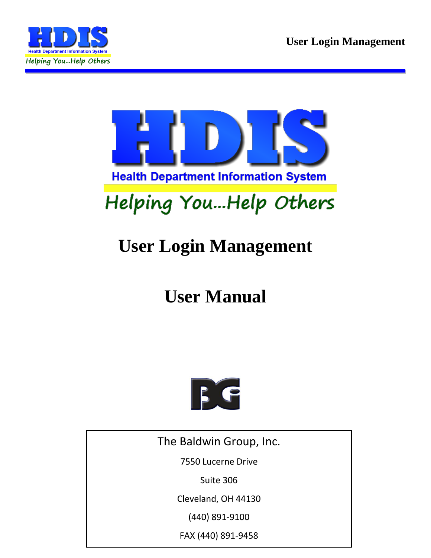



# **User Manual**



The Baldwin Group, Inc.

7550 Lucerne Drive

Suite 306

Cleveland, OH 44130

(440) 891-9100

FAX (440) 891-9458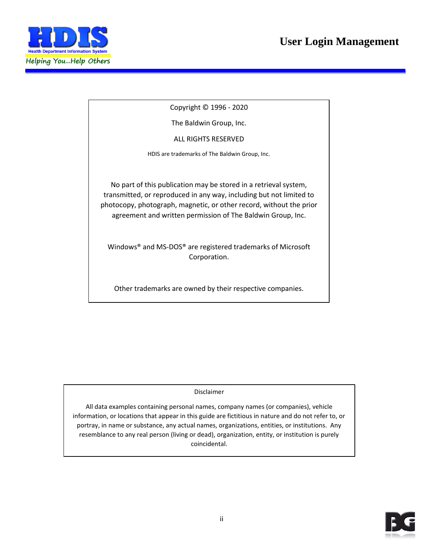

Copyright © 1996 - 2020

The Baldwin Group, Inc.

ALL RIGHTS RESERVED

HDIS are trademarks of The Baldwin Group, Inc.

No part of this publication may be stored in a retrieval system, transmitted, or reproduced in any way, including but not limited to photocopy, photograph, magnetic, or other record, without the prior agreement and written permission of The Baldwin Group, Inc.

Windows® and MS-DOS® are registered trademarks of Microsoft Corporation.

Other trademarks are owned by their respective companies.

Disclaimer

All data examples containing personal names, company names (or companies), vehicle information, or locations that appear in this guide are fictitious in nature and do not refer to, or portray, in name or substance, any actual names, organizations, entities, or institutions. Any resemblance to any real person (living or dead), organization, entity, or institution is purely coincidental.

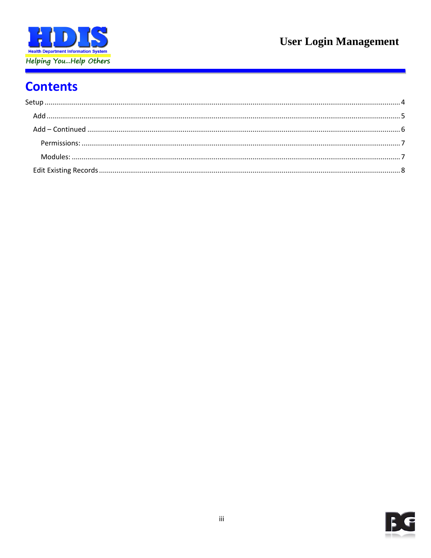

# **Contents**

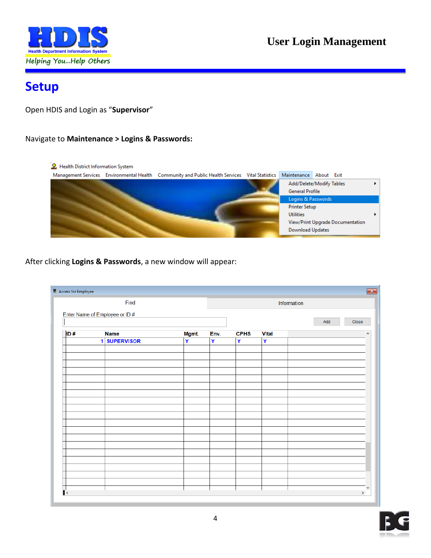

## <span id="page-3-0"></span>**Setup**

Open HDIS and Login as "**Supervisor**"

#### Navigate to **Maintenance > Logins & Passwords:**



After clicking **Logins & Passwords**, a new window will appear:

|     | Find                           |       |      |             | Information  |              |
|-----|--------------------------------|-------|------|-------------|--------------|--------------|
|     | Enter Name of Employee or ID # |       |      |             |              |              |
|     |                                |       |      |             |              | Add<br>Close |
| ID# | <b>Name</b>                    | Mgmt. | Env. | <b>CPHS</b> | <b>Vital</b> | $\land$      |
|     | 1 SUPERVISOR                   | Ÿ     | Y    | Ÿ           | Y            |              |
|     |                                |       |      |             |              |              |
|     |                                |       |      |             |              |              |
|     |                                |       |      |             |              |              |
|     |                                |       |      |             |              |              |
|     |                                |       |      |             |              |              |
|     |                                |       |      |             |              |              |
|     |                                |       |      |             |              |              |
|     |                                |       |      |             |              |              |
|     |                                |       |      |             |              |              |
|     |                                |       |      |             |              |              |
|     |                                |       |      |             |              |              |
|     |                                |       |      |             |              |              |
|     |                                |       |      |             |              |              |
|     |                                |       |      |             |              |              |
|     |                                |       |      |             |              |              |
|     |                                |       |      |             |              |              |
|     |                                |       |      |             |              |              |
|     |                                |       |      |             |              | $\checkmark$ |

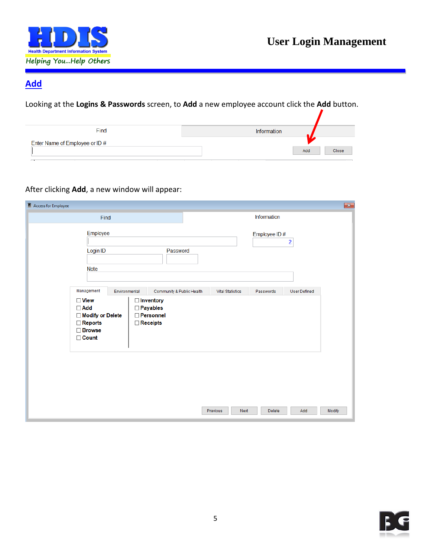

### <span id="page-4-0"></span>**Add**

Looking at the **Logins & Passwords** screen, to **Add** a new employee account click the **Add** button.

| Find                           | Information  |
|--------------------------------|--------------|
| Enter Name of Employee or ID # |              |
|                                | Add<br>Close |
| $\Box$                         |              |

#### After clicking **Add**, a new window will appear:

| Access for Employee                                            |                                                                                   |                         |              | $\mathbf{x}$            |
|----------------------------------------------------------------|-----------------------------------------------------------------------------------|-------------------------|--------------|-------------------------|
| Find                                                           |                                                                                   |                         | Information  |                         |
| Employee<br>Login ID<br><b>Note</b>                            | Password                                                                          |                         | Employee ID# | $\overline{\mathbf{c}}$ |
| Management<br>$\Box$ View<br>$\Box$ Add                        | Environmental<br>Community & Public Health<br><b>Inventory</b><br><b>Payables</b> | <b>Vital Statistics</b> | Passwords    | <b>User Defined</b>     |
| Modify or Delete<br>$\Box$ Reports<br>□ Browse<br>$\Box$ Count | <b>Personnel</b><br>Receipts                                                      |                         |              |                         |
|                                                                |                                                                                   |                         |              |                         |
|                                                                |                                                                                   |                         |              |                         |
|                                                                |                                                                                   | Next<br>Previous        | Delete       | Modify<br>Add           |

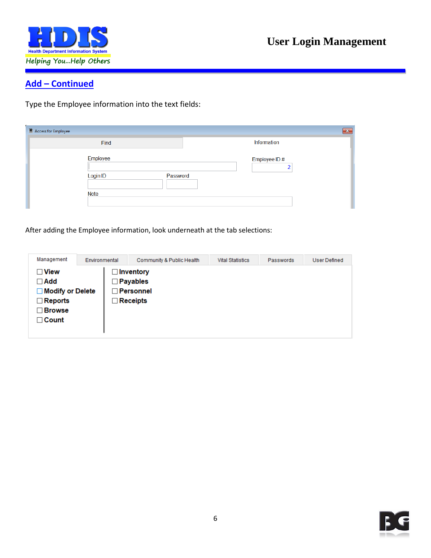

### <span id="page-5-0"></span>**Add – Continued**

Type the Employee information into the text fields:

| $\blacksquare$ Access for Employee              | $-x$         |
|-------------------------------------------------|--------------|
| Find                                            | Information  |
| Employee<br>Login ID<br>Password<br><b>Note</b> | Employee ID# |

After adding the Employee information, look underneath at the tab selections:

| Management                                                                                                     | Environmental | Community & Public Health                                                    | <b>Vital Statistics</b> | Passwords | User Defined |
|----------------------------------------------------------------------------------------------------------------|---------------|------------------------------------------------------------------------------|-------------------------|-----------|--------------|
| $\Box$ View<br>$\Box$ Add<br><b>Modify or Delete</b><br>П<br>$\Box$ Reports<br><b>Browse</b><br>$\sqcap$ Count |               | <b>□ Inventory</b><br>$\Box$ Payables<br>$\Box$ Personnel<br>$\Box$ Receipts |                         |           |              |

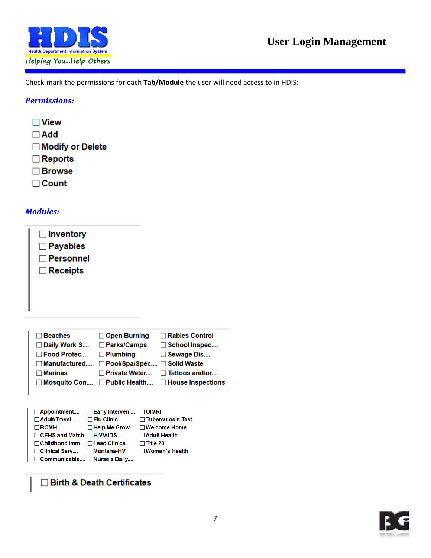

Check-mark the permissions for each **Tab/Module** the user will need access to in HDIS:

#### <span id="page-6-0"></span>*Permissions:*

- $\Box$  View  $\Box$  Add □ Modify or Delete  $\Box$  Reports □ Browse
- $\Box$  Count

#### <span id="page-6-1"></span>*Modules:*

| $\Box$ Inventory<br>$\Box$ Payables<br>$\Box$ Personnel<br>$\Box$ Receipts |                                                                             |                                                               |
|----------------------------------------------------------------------------|-----------------------------------------------------------------------------|---------------------------------------------------------------|
| $\sqcap$ Beaches<br>⊟ Daily Work S<br>Food Protec                          | $\Box$ Open Burning<br><b>⊟ Parks/Camps</b><br>$\Box$ Plumbing              | $\Box$ Rabies Control<br>$\Box$ School Inspec<br>□ Sewage Dis |
| ∃ Manufactured<br>$\sqcap$ Marinas<br>□ Mosquito Con                       | □ Pool/Spa/Spec □ Solid Waste<br>⊟ Private Water<br>$\square$ Public Health | $\Box$ Tattoos and/or<br>$\Box$ House Inspections             |
| □ Appointment                                                              | $\square$ Early Interven<br><b>OIMRI</b>                                    |                                                               |

| $\Box$ Appointment $\Box$ Early Interven $\Box$ Oliviry |                                         |                          |
|---------------------------------------------------------|-----------------------------------------|--------------------------|
| $\Box$ Adult/Travel $\Box$ Flu Clinic                   |                                         | $\Box$ Tuberculosis Test |
| $\Box$ BCMH                                             | $\Box$ Help Me Grow $\Box$ Welcome Home |                          |
| $\Box$ CFHS and Match $\Box$ HIV/AIDS                   |                                         | $\Box$ Adult Health      |
| $\Box$ Childhood Imm $\Box$ Lead Clinics                |                                         | $\Box$ Title 20          |
| □ Clinical Serv  □ Montana-HV                           |                                         | $\Box$ Women's Health    |
| □ Communicable □ Nurse's Daily                          |                                         |                          |
|                                                         |                                         |                          |

□ Birth & Death Certificates

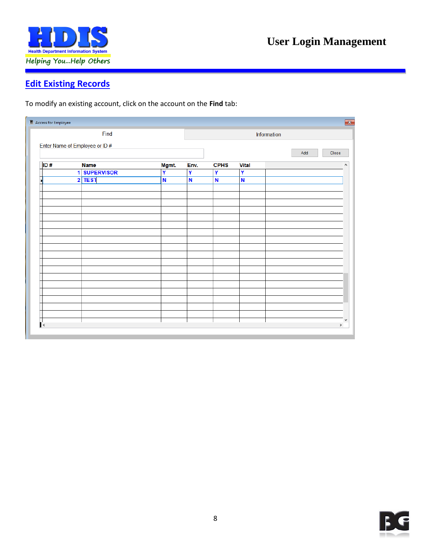

### <span id="page-7-0"></span>**Edit Existing Records**

To modify an existing account, click on the account on the **Find** tab:

| $\blacksquare$ Access for Employee |   |                   |                         |      |             |              | $\mathbf{z}$ |
|------------------------------------|---|-------------------|-------------------------|------|-------------|--------------|--------------|
|                                    |   | Find              |                         |      |             |              | Information  |
| Enter Name of Employee or ID #     |   |                   |                         |      |             |              |              |
|                                    |   |                   |                         |      |             |              | Close<br>Add |
| ID#                                |   | <b>Name</b>       | Mgmt.                   | Env. | <b>CPHS</b> | <b>Vital</b> | A.           |
|                                    | 1 | <b>SUPERVISOR</b> | $\overline{\mathsf{Y}}$ | Ÿ    | Y           | Ÿ            |              |
|                                    |   | $2$ TEST          | $\overline{\mathsf{N}}$ | N    | N           | N            |              |
|                                    |   |                   |                         |      |             |              |              |
|                                    |   |                   |                         |      |             |              |              |
|                                    |   |                   |                         |      |             |              |              |
|                                    |   |                   |                         |      |             |              |              |
|                                    |   |                   |                         |      |             |              |              |
|                                    |   |                   |                         |      |             |              |              |
|                                    |   |                   |                         |      |             |              |              |
|                                    |   |                   |                         |      |             |              |              |
|                                    |   |                   |                         |      |             |              |              |
|                                    |   |                   |                         |      |             |              |              |
|                                    |   |                   |                         |      |             |              |              |
|                                    |   |                   |                         |      |             |              |              |
|                                    |   |                   |                         |      |             |              |              |
|                                    |   |                   |                         |      |             |              |              |
|                                    |   |                   |                         |      |             |              |              |
|                                    |   |                   |                         |      |             |              |              |
|                                    |   |                   |                         |      |             |              |              |
|                                    |   |                   |                         |      |             |              | $\mathbf{v}$ |
| $\left\langle$                     |   |                   |                         |      |             |              | $\,$         |
|                                    |   |                   |                         |      |             |              |              |